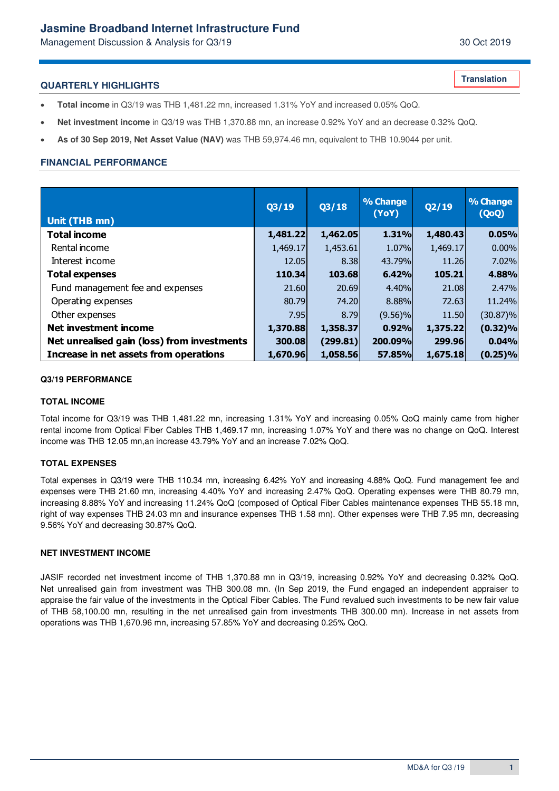# **Jasmine Broadband Internet Infrastructure Fund**

Management Discussion & Analysis for Q3/19 30 Oct 2019

**Translation**

### **QUARTERLY HIGHLIGHTS**

- **Total income** in Q3/19 was THB 1,481.22 mn, increased 1.31% YoY and increased 0.05% QoQ.
- **Net investment income** in Q3/19 was THB 1,370.88 mn, an increase 0.92% YoY and an decrease 0.32% QoQ.
- **As of 30 Sep 2019, Net Asset Value (NAV)** was THB 59,974.46 mn, equivalent to THB 10.9044 per unit.

## **FINANCIAL PERFORMANCE**

| Unit (THB mn)                               | Q3/19    | Q3/18    | % Change<br>(YoY) | Q2/19    | % Change<br>(QoQ) |
|---------------------------------------------|----------|----------|-------------------|----------|-------------------|
| <b>Total income</b>                         | 1,481.22 | 1,462.05 | 1.31%             | 1,480.43 | 0.05%             |
| Rental income                               | 1,469.17 | 1,453.61 | 1.07%             | 1,469.17 | 0.00%             |
| Interest income                             | 12.05    | 8.38     | 43.79%            | 11.26    | 7.02%             |
| <b>Total expenses</b>                       | 110.34   | 103.68   | 6.42%             | 105.21   | 4.88%             |
| Fund management fee and expenses            | 21,60    | 20.69    | 4.40%             | 21,08    | 2.47%             |
| Operating expenses                          | 80.79    | 74.20    | 8.88%             | 72.63    | 11.24%            |
| Other expenses                              | 7.95     | 8.79     | $(9.56)\%$        | 11.50    | $(30.87)\%$       |
| Net investment income                       | 1,370.88 | 1,358.37 | 0.92%             | 1,375.22 | $(0.32)\%$        |
| Net unrealised gain (loss) from investments | 300.08   | (299.81) | 200.09%           | 299.96   | 0.04%             |
| Increase in net assets from operations      | 1,670.96 | 1,058.56 | <b>57.85%</b>     | 1,675.18 | $(0.25)\%$        |

#### **Q3/19 PERFORMANCE**

#### **TOTAL INCOME**

Total income for Q3/19 was THB 1,481.22 mn, increasing 1.31% YoY and increasing 0.05% QoQ mainly came from higher rental income from Optical Fiber Cables THB 1,469.17 mn, increasing 1.07% YoY and there was no change on QoQ. Interest income was THB 12.05 mn,an increase 43.79% YoY and an increase 7.02% QoQ.

### **TOTAL EXPENSES**

Total expenses in Q3/19 were THB 110.34 mn, increasing 6.42% YoY and increasing 4.88% QoQ. Fund management fee and expenses were THB 21.60 mn, increasing 4.40% YoY and increasing 2.47% QoQ. Operating expenses were THB 80.79 mn, increasing 8.88% YoY and increasing 11.24% QoQ (composed of Optical Fiber Cables maintenance expenses THB 55.18 mn, right of way expenses THB 24.03 mn and insurance expenses THB 1.58 mn). Other expenses were THB 7.95 mn, decreasing 9.56% YoY and decreasing 30.87% QoQ.

#### **NET INVESTMENT INCOME**

JASIF recorded net investment income of THB 1,370.88 mn in Q3/19, increasing 0.92% YoY and decreasing 0.32% QoQ. Net unrealised gain from investment was THB 300.08 mn. (In Sep 2019, the Fund engaged an independent appraiser to appraise the fair value of the investments in the Optical Fiber Cables. The Fund revalued such investments to be new fair value of THB 58,100.00 mn, resulting in the net unrealised gain from investments THB 300.00 mn). Increase in net assets from operations was THB 1,670.96 mn, increasing 57.85% YoY and decreasing 0.25% QoQ.